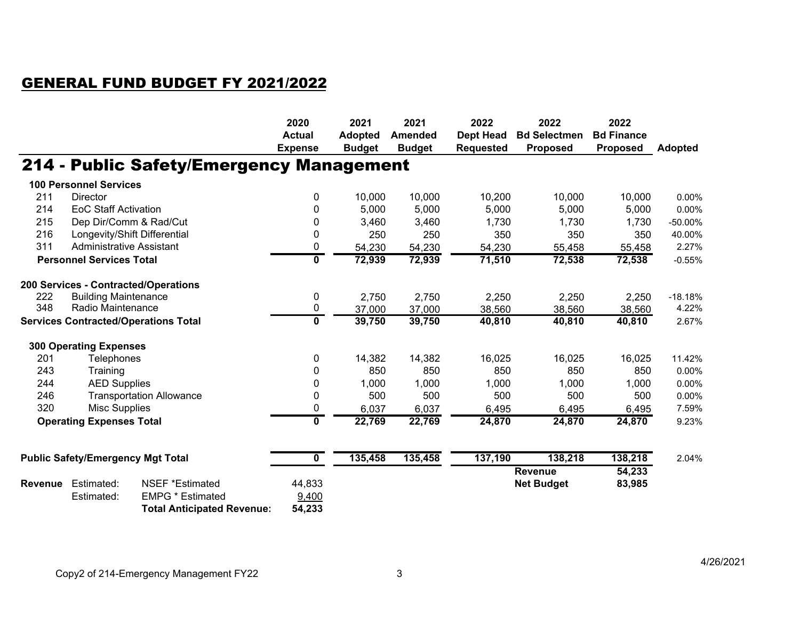## GENERAL FUND BUDGET FY 2021/2022

|                                             |                                          |                                          | 2020                    | 2021           | 2021           | 2022             | 2022                | 2022              |                |
|---------------------------------------------|------------------------------------------|------------------------------------------|-------------------------|----------------|----------------|------------------|---------------------|-------------------|----------------|
|                                             |                                          |                                          | <b>Actual</b>           | <b>Adopted</b> | <b>Amended</b> | <b>Dept Head</b> | <b>Bd Selectmen</b> | <b>Bd Finance</b> |                |
|                                             |                                          |                                          | <b>Expense</b>          | <b>Budget</b>  | <b>Budget</b>  | <b>Requested</b> | <b>Proposed</b>     | <b>Proposed</b>   | <b>Adopted</b> |
|                                             |                                          | 214 - Public Safety/Emergency Management |                         |                |                |                  |                     |                   |                |
|                                             | <b>100 Personnel Services</b>            |                                          |                         |                |                |                  |                     |                   |                |
| 211                                         | <b>Director</b>                          |                                          | 0                       | 10,000         | 10,000         | 10,200           | 10,000              | 10,000            | 0.00%          |
| 214                                         | <b>EoC Staff Activation</b>              |                                          | 0                       | 5,000          | 5,000          | 5,000            | 5,000               | 5,000             | $0.00\%$       |
| 215                                         |                                          | Dep Dir/Comm & Rad/Cut                   | 0                       | 3,460          | 3,460          | 1,730            | 1,730               | 1,730             | -50.00%        |
| 216                                         |                                          | Longevity/Shift Differential             | 0                       | 250            | 250            | 350              | 350                 | 350               | 40.00%         |
| 311                                         | <b>Administrative Assistant</b>          |                                          | 0                       | 54,230         | 54,230         | 54,230           | 55,458              | 55,458            | 2.27%          |
|                                             | <b>Personnel Services Total</b>          |                                          | 0                       | 72,939         | 72,939         | 71,510           | 72,538              | 72,538            | $-0.55%$       |
|                                             |                                          | 200 Services - Contracted/Operations     |                         |                |                |                  |                     |                   |                |
| 222                                         | <b>Building Maintenance</b>              |                                          | 0                       | 2,750          | 2,750          | 2,250            | 2,250               | 2,250             | $-18.18%$      |
| 348                                         | Radio Maintenance                        |                                          | 0                       | 37,000         | 37,000         | 38,560           | 38,560              | 38,560            | 4.22%          |
| <b>Services Contracted/Operations Total</b> |                                          | $\mathbf 0$                              | 39,750                  | 39,750         | 40,810         | 40,810           | 40,810              | 2.67%             |                |
|                                             | <b>300 Operating Expenses</b>            |                                          |                         |                |                |                  |                     |                   |                |
| 201                                         | Telephones                               |                                          | 0                       | 14,382         | 14,382         | 16,025           | 16,025              | 16,025            | 11.42%         |
| 243                                         | Training                                 |                                          | 0                       | 850            | 850            | 850              | 850                 | 850               | 0.00%          |
| 244                                         | <b>AED Supplies</b>                      |                                          | 0                       | 1,000          | 1,000          | 1,000            | 1,000               | 1,000             | 0.00%          |
| 246                                         |                                          | <b>Transportation Allowance</b>          | 0                       | 500            | 500            | 500              | 500                 | 500               | 0.00%          |
| 320                                         | <b>Misc Supplies</b>                     |                                          | 0                       | 6,037          | 6,037          | 6,495            | 6,495               | 6,495             | 7.59%          |
| <b>Operating Expenses Total</b>             |                                          | $\mathbf 0$                              | 22,769                  | 22,769         | 24,870         | 24,870           | 24,870              | 9.23%             |                |
|                                             |                                          |                                          |                         |                |                |                  |                     |                   |                |
|                                             | <b>Public Safety/Emergency Mgt Total</b> |                                          | $\overline{\mathbf{0}}$ | 135,458        | 135,458        | 137,190          | 138,218             | 138,218           | 2.04%          |
|                                             |                                          |                                          |                         |                |                |                  | <b>Revenue</b>      | 54,233            |                |
| <b>Revenue</b>                              | Estimated:                               | NSEF *Estimated                          | 44,833                  |                |                |                  | <b>Net Budget</b>   | 83,985            |                |
|                                             | Estimated:                               | <b>EMPG * Estimated</b>                  | 9,400                   |                |                |                  |                     |                   |                |
|                                             |                                          | <b>Total Anticipated Revenue:</b>        | 54,233                  |                |                |                  |                     |                   |                |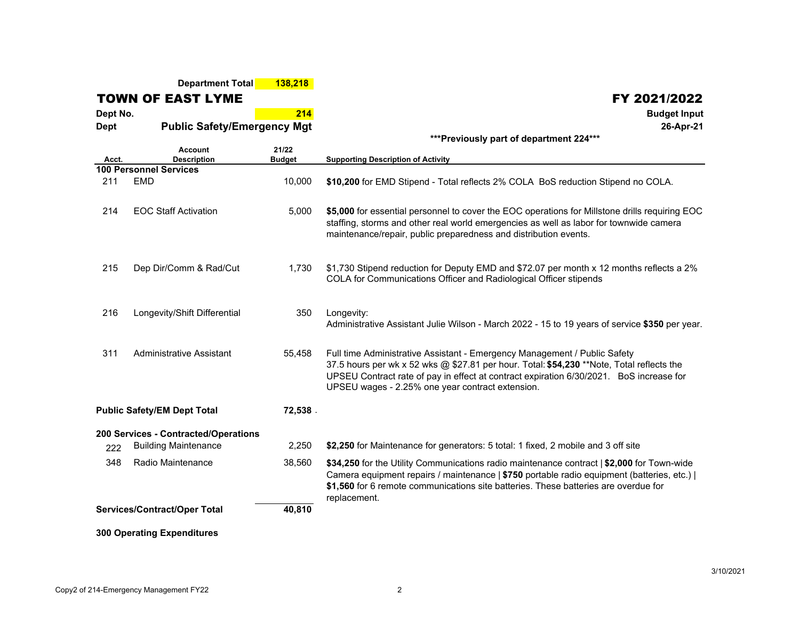**Department Total 138,218**

TOWN OF EAST LYME

**Dept No. 214Dept**

**Public Safety/Emergency Mgt**

| ***Previously part of department 224*** |  |  |  |
|-----------------------------------------|--|--|--|
|-----------------------------------------|--|--|--|

| Acct.                                  | <b>Account</b><br><b>Description</b> | 21/22<br><b>Budget</b> | <b>Supporting Description of Activity</b>                                                                                                                                                                                                                                                                             |
|----------------------------------------|--------------------------------------|------------------------|-----------------------------------------------------------------------------------------------------------------------------------------------------------------------------------------------------------------------------------------------------------------------------------------------------------------------|
|                                        | <b>100 Personnel Services</b>        |                        |                                                                                                                                                                                                                                                                                                                       |
| 211                                    | <b>EMD</b>                           | 10,000                 | \$10,200 for EMD Stipend - Total reflects 2% COLA BoS reduction Stipend no COLA.                                                                                                                                                                                                                                      |
| 214                                    | <b>EOC Staff Activation</b>          | 5,000                  | \$5,000 for essential personnel to cover the EOC operations for Millstone drills requiring EOC<br>staffing, storms and other real world emergencies as well as labor for townwide camera<br>maintenance/repair, public preparedness and distribution events.                                                          |
| 215                                    | Dep Dir/Comm & Rad/Cut               | 1,730                  | \$1,730 Stipend reduction for Deputy EMD and \$72.07 per month x 12 months reflects a 2%<br>COLA for Communications Officer and Radiological Officer stipends                                                                                                                                                         |
| 216                                    | Longevity/Shift Differential         | 350                    | Longevity:<br>Administrative Assistant Julie Wilson - March 2022 - 15 to 19 years of service \$350 per year.                                                                                                                                                                                                          |
| 311                                    | <b>Administrative Assistant</b>      | 55,458                 | Full time Administrative Assistant - Emergency Management / Public Safety<br>37.5 hours per wk x 52 wks @ \$27.81 per hour. Total: \$54,230 **Note, Total reflects the<br>UPSEU Contract rate of pay in effect at contract expiration 6/30/2021. BoS increase for<br>UPSEU wages - 2.25% one year contract extension. |
| <b>Public Safety/EM Dept Total</b>     |                                      | 72,538.                |                                                                                                                                                                                                                                                                                                                       |
|                                        | 200 Services - Contracted/Operations |                        |                                                                                                                                                                                                                                                                                                                       |
| 222                                    | <b>Building Maintenance</b>          | 2,250                  | \$2,250 for Maintenance for generators: 5 total: 1 fixed, 2 mobile and 3 off site                                                                                                                                                                                                                                     |
| 348                                    | Radio Maintenance                    | 38,560                 | \$34,250 for the Utility Communications radio maintenance contract   \$2,000 for Town-wide<br>Camera equipment repairs / maintenance   \$750 portable radio equipment (batteries, etc.)  <br>\$1,560 for 6 remote communications site batteries. These batteries are overdue for<br>replacement.                      |
| Services/Contract/Oper Total<br>40,810 |                                      |                        |                                                                                                                                                                                                                                                                                                                       |
|                                        | <b>300 Operating Expenditures</b>    |                        |                                                                                                                                                                                                                                                                                                                       |

 $\begin{array}{|c|c|c|}\hline \text{FY } 2021/2022 \ \hline \end{array}$ 

 **Budget Input 26-Apr-21**